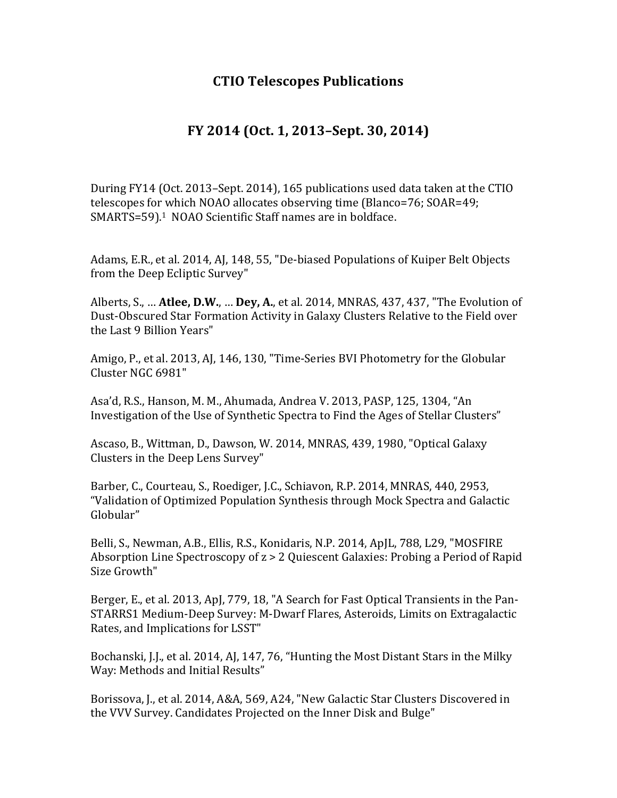## **CTIO Telescopes Publications**

## **FY 2014 (Oct. 1, 2013–Sept. 30, 2014)**

During FY14 (Oct. 2013–Sept. 2014), 165 publications used data taken at the CTIO telescopes for which NOAO allocates observing time (Blanco=76; SOAR=49; SMARTS=59).<sup>1</sup> NOAO Scientific Staff names are in boldface.

Adams, E.R., et al. 2014, AJ, 148, 55, "De-biased Populations of Kuiper Belt Objects from the Deep Ecliptic Survey"

Alberts, S., ... **Atlee, D.W., ... Dey, A.**, et al. 2014, MNRAS, 437, 437, "The Evolution of Dust-Obscured Star Formation Activity in Galaxy Clusters Relative to the Field over the Last 9 Billion Years"

Amigo, P., et al. 2013, AJ, 146, 130, "Time-Series BVI Photometry for the Globular Cluster NGC 6981"

Asa'd, R.S., Hanson, M. M., Ahumada, Andrea V. 2013, PASP, 125, 1304, "An Investigation of the Use of Synthetic Spectra to Find the Ages of Stellar Clusters"

Ascaso, B., Wittman, D., Dawson, W. 2014, MNRAS, 439, 1980, "Optical Galaxy Clusters in the Deep Lens Survey"

Barber, C., Courteau, S., Roediger, J.C., Schiavon, R.P. 2014, MNRAS, 440, 2953, "Validation of Optimized Population Synthesis through Mock Spectra and Galactic Globular"

Belli, S., Newman, A.B., Ellis, R.S., Konidaris, N.P. 2014, ApJL, 788, L29, "MOSFIRE Absorption Line Spectroscopy of  $z > 2$  Quiescent Galaxies: Probing a Period of Rapid Size Growth"

Berger, E., et al. 2013, ApJ, 779, 18, "A Search for Fast Optical Transients in the Pan-STARRS1 Medium-Deep Survey: M-Dwarf Flares, Asteroids, Limits on Extragalactic Rates, and Implications for LSST"

Bochanski, J.J., et al. 2014, AJ, 147, 76, "Hunting the Most Distant Stars in the Milky Way: Methods and Initial Results"

Borissova, J., et al. 2014, A&A, 569, A24, "New Galactic Star Clusters Discovered in the VVV Survey. Candidates Projected on the Inner Disk and Bulge"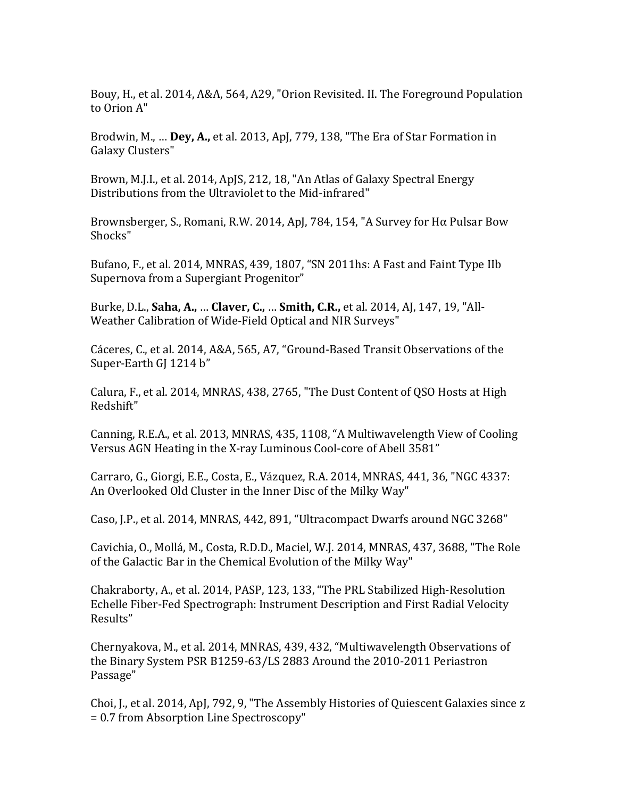Bouy, H., et al. 2014, A&A, 564, A29, "Orion Revisited. II. The Foreground Population to Orion A"

Brodwin, M., ... **Dey, A.,** et al. 2013, ApJ, 779, 138, "The Era of Star Formation in Galaxy Clusters"

Brown, M.J.I., et al. 2014, ApJS, 212, 18, "An Atlas of Galaxy Spectral Energy Distributions from the Ultraviolet to the Mid-infrared"

Brownsberger, S., Romani, R.W. 2014, ApJ, 784, 154, "A Survey for H $\alpha$  Pulsar Bow Shocks" 

Bufano, F., et al. 2014, MNRAS, 439, 1807, "SN 2011hs: A Fast and Faint Type IIb Supernova from a Supergiant Progenitor"

Burke, D.L., **Saha, A., ... Claver, C., ... Smith, C.R.,** et al. 2014, AJ, 147, 19, "All-Weather Calibration of Wide-Field Optical and NIR Surveys"

Cáceres, C., et al. 2014, A&A, 565, A7, "Ground-Based Transit Observations of the Super-Earth GJ 1214 b"

Calura, F., et al. 2014, MNRAS, 438, 2765, "The Dust Content of QSO Hosts at High Redshift"

Canning, R.E.A., et al. 2013, MNRAS, 435, 1108, "A Multiwavelength View of Cooling Versus AGN Heating in the X-ray Luminous Cool-core of Abell 3581"

Carraro, G., Giorgi, E.E., Costa, E., Vázquez, R.A. 2014, MNRAS, 441, 36, "NGC 4337: An Overlooked Old Cluster in the Inner Disc of the Milky Way"

Caso, J.P., et al. 2014, MNRAS, 442, 891, "Ultracompact Dwarfs around NGC 3268"

Cavichia, O., Mollá, M., Costa, R.D.D., Maciel, W.J. 2014, MNRAS, 437, 3688, "The Role of the Galactic Bar in the Chemical Evolution of the Milky Way"

Chakraborty, A., et al. 2014, PASP, 123, 133, "The PRL Stabilized High-Resolution Echelle Fiber-Fed Spectrograph: Instrument Description and First Radial Velocity Results" 

Chernyakova, M., et al. 2014, MNRAS, 439, 432, "Multiwavelength Observations of the Binary System PSR B1259-63/LS 2883 Around the 2010-2011 Periastron Passage" 

Choi, J., et al. 2014, ApJ, 792, 9, "The Assembly Histories of Quiescent Galaxies since z = 0.7 from Absorption Line Spectroscopy"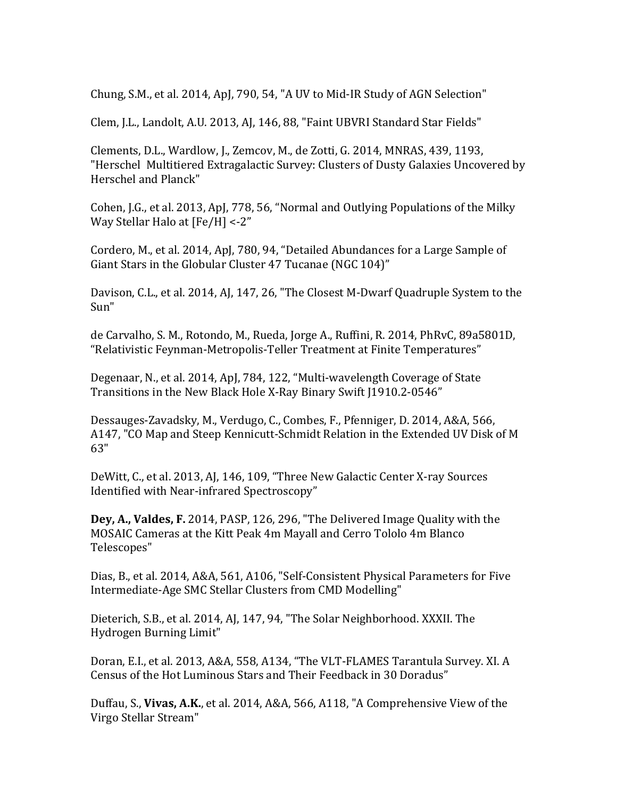Chung, S.M., et al. 2014, ApJ, 790, 54, "A UV to Mid-IR Study of AGN Selection"

Clem, J.L., Landolt, A.U. 2013, AJ, 146, 88, "Faint UBVRI Standard Star Fields"

Clements, D.L., Wardlow, J., Zemcov, M., de Zotti, G. 2014, MNRAS, 439, 1193, "Herschel Multitiered Extragalactic Survey: Clusters of Dusty Galaxies Uncovered by Herschel and Planck"

Cohen, J.G., et al. 2013, ApJ, 778, 56, "Normal and Outlying Populations of the Milky Way Stellar Halo at  $[Fe/H] < -2"$ 

Cordero, M., et al. 2014, ApJ, 780, 94, "Detailed Abundances for a Large Sample of Giant Stars in the Globular Cluster 47 Tucanae (NGC 104)"

Davison, C.L., et al. 2014, AJ, 147, 26, "The Closest M-Dwarf Quadruple System to the Sun"

de Carvalho, S. M., Rotondo, M., Rueda, Jorge A., Ruffini, R. 2014, PhRvC, 89a5801D, "Relativistic Feynman-Metropolis-Teller Treatment at Finite Temperatures"

Degenaar, N., et al. 2014, ApJ, 784, 122, "Multi-wavelength Coverage of State Transitions in the New Black Hole X-Ray Binary Swift [1910.2-0546"

Dessauges-Zavadsky, M., Verdugo, C., Combes, F., Pfenniger, D. 2014, A&A, 566, A147, "CO Map and Steep Kennicutt-Schmidt Relation in the Extended UV Disk of M 63"

DeWitt, C., et al. 2013, AJ, 146, 109, "Three New Galactic Center X-ray Sources Identified with Near-infrared Spectroscopy"

**Dey, A., Valdes, F.** 2014, PASP, 126, 296, "The Delivered Image Quality with the MOSAIC Cameras at the Kitt Peak 4m Mayall and Cerro Tololo 4m Blanco Telescopes" 

Dias, B., et al. 2014, A&A, 561, A106, "Self-Consistent Physical Parameters for Five Intermediate-Age SMC Stellar Clusters from CMD Modelling"

Dieterich, S.B., et al. 2014, AJ, 147, 94, "The Solar Neighborhood. XXXII. The Hydrogen Burning Limit" 

Doran, E.I., et al. 2013, A&A, 558, A134, "The VLT-FLAMES Tarantula Survey. XI. A Census of the Hot Luminous Stars and Their Feedback in 30 Doradus"

Duffau, S., Vivas, A.K., et al. 2014, A&A, 566, A118, "A Comprehensive View of the Virgo Stellar Stream"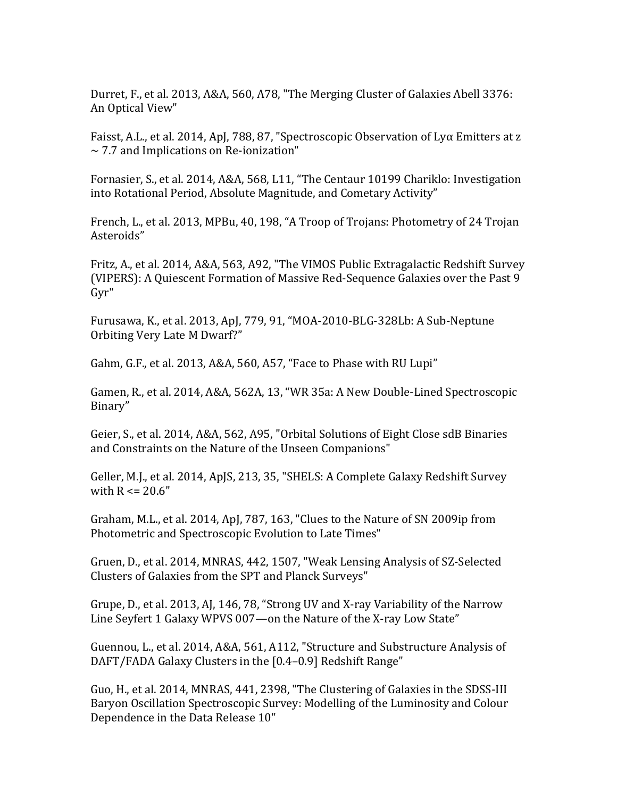Durret, F., et al. 2013, A&A, 560, A78, "The Merging Cluster of Galaxies Abell 3376: An Optical View"

Faisst, A.L., et al. 2014, ApJ, 788, 87, "Spectroscopic Observation of Ly $\alpha$  Emitters at z  $\sim$  7.7 and Implications on Re-ionization"

Fornasier, S., et al. 2014, A&A, 568, L11, "The Centaur 10199 Chariklo: Investigation into Rotational Period, Absolute Magnitude, and Cometary Activity"

French, L., et al. 2013, MPBu, 40, 198, "A Troop of Trojans: Photometry of 24 Trojan Asteroids" 

Fritz, A., et al. 2014, A&A, 563, A92, "The VIMOS Public Extragalactic Redshift Survey (VIPERS): A Quiescent Formation of Massive Red-Sequence Galaxies over the Past 9 Gyr" 

Furusawa, K., et al. 2013, ApJ, 779, 91, "MOA-2010-BLG-328Lb: A Sub-Neptune Orbiting Very Late M Dwarf?"

Gahm, G.F., et al. 2013, A&A, 560, A57, "Face to Phase with RU Lupi"

Gamen, R., et al. 2014, A&A, 562A, 13, "WR 35a: A New Double-Lined Spectroscopic Binary" 

Geier, S., et al. 2014, A&A, 562, A95, "Orbital Solutions of Eight Close sdB Binaries and Constraints on the Nature of the Unseen Companions"

Geller, M.J., et al. 2014, ApJS, 213, 35, "SHELS: A Complete Galaxy Redshift Survey with  $R \le 20.6"$ 

Graham, M.L., et al. 2014, ApJ, 787, 163, "Clues to the Nature of SN 2009ip from Photometric and Spectroscopic Evolution to Late Times"

Gruen, D., et al. 2014, MNRAS, 442, 1507, "Weak Lensing Analysis of SZ-Selected Clusters of Galaxies from the SPT and Planck Surveys"

Grupe, D., et al. 2013, AJ, 146, 78, "Strong UV and X-ray Variability of the Narrow Line Seyfert 1 Galaxy WPVS 007-on the Nature of the X-ray Low State"

Guennou, L., et al. 2014, A&A, 561, A112, "Structure and Substructure Analysis of DAFT/FADA Galaxy Clusters in the [0.4–0.9] Redshift Range"

Guo, H., et al. 2014, MNRAS, 441, 2398, "The Clustering of Galaxies in the SDSS-III Baryon Oscillation Spectroscopic Survey: Modelling of the Luminosity and Colour Dependence in the Data Release 10"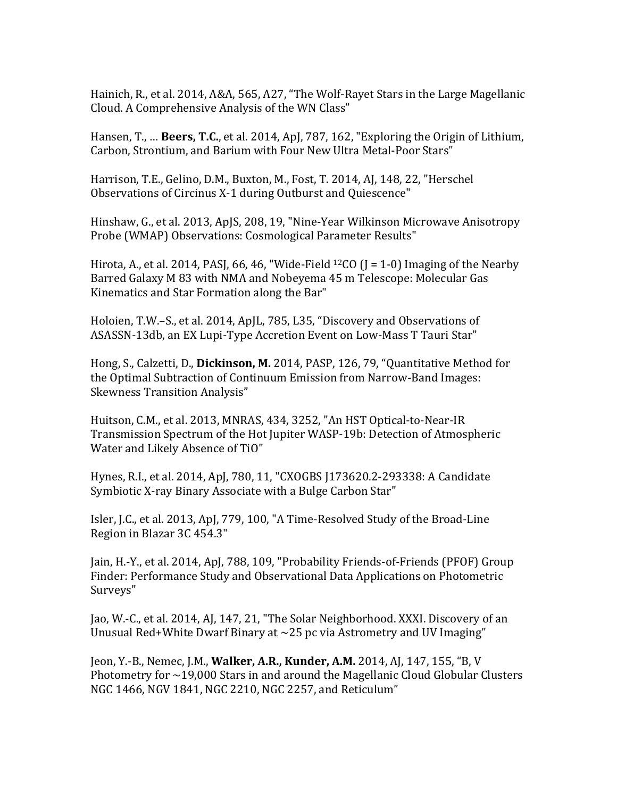Hainich, R., et al. 2014, A&A, 565, A27, "The Wolf-Rayet Stars in the Large Magellanic Cloud. A Comprehensive Analysis of the WN Class"

Hansen, T., ... **Beers, T.C.**, et al. 2014, ApJ, 787, 162, "Exploring the Origin of Lithium, Carbon, Strontium, and Barium with Four New Ultra Metal-Poor Stars"

Harrison, T.E., Gelino, D.M., Buxton, M., Fost, T. 2014, AJ, 148, 22, "Herschel Observations of Circinus X-1 during Outburst and Quiescence"

Hinshaw, G., et al. 2013, ApJS, 208, 19, "Nine-Year Wilkinson Microwave Anisotropy Probe (WMAP) Observations: Cosmological Parameter Results"

Hirota, A., et al. 2014, PASJ, 66, 46, "Wide-Field <sup>12</sup>CO (J = 1-0) Imaging of the Nearby Barred Galaxy M 83 with NMA and Nobeyema 45 m Telescope: Molecular Gas Kinematics and Star Formation along the Bar"

Holoien, T.W.–S., et al. 2014, ApJL, 785, L35, "Discovery and Observations of ASASSN-13db, an EX Lupi-Type Accretion Event on Low-Mass T Tauri Star"

Hong, S., Calzetti, D., Dickinson, M. 2014, PASP, 126, 79, "Quantitative Method for the Optimal Subtraction of Continuum Emission from Narrow-Band Images: Skewness Transition Analysis"

Huitson, C.M., et al. 2013, MNRAS, 434, 3252, "An HST Optical-to-Near-IR Transmission Spectrum of the Hot Jupiter WASP-19b: Detection of Atmospheric Water and Likely Absence of TiO"

Hynes, R.I., et al. 2014, ApJ, 780, 11, "CXOGBS J173620.2-293338: A Candidate Symbiotic X-ray Binary Associate with a Bulge Carbon Star"

Isler, J.C., et al. 2013, ApJ, 779, 100, "A Time-Resolved Study of the Broad-Line Region in Blazar 3C 454.3"

Jain, H.-Y., et al. 2014, ApJ, 788, 109, "Probability Friends-of-Friends (PFOF) Group Finder: Performance Study and Observational Data Applications on Photometric Surveys" 

Jao, W.-C., et al. 2014, AJ, 147, 21, "The Solar Neighborhood. XXXI. Discovery of an Unusual Red+White Dwarf Binary at  $\sim$ 25 pc via Astrometry and UV Imaging"

Jeon, Y.-B., Nemec, J.M., **Walker, A.R., Kunder, A.M.** 2014, AJ, 147, 155, "B, V Photometry for  $\sim$ 19,000 Stars in and around the Magellanic Cloud Globular Clusters NGC 1466, NGV 1841, NGC 2210, NGC 2257, and Reticulum"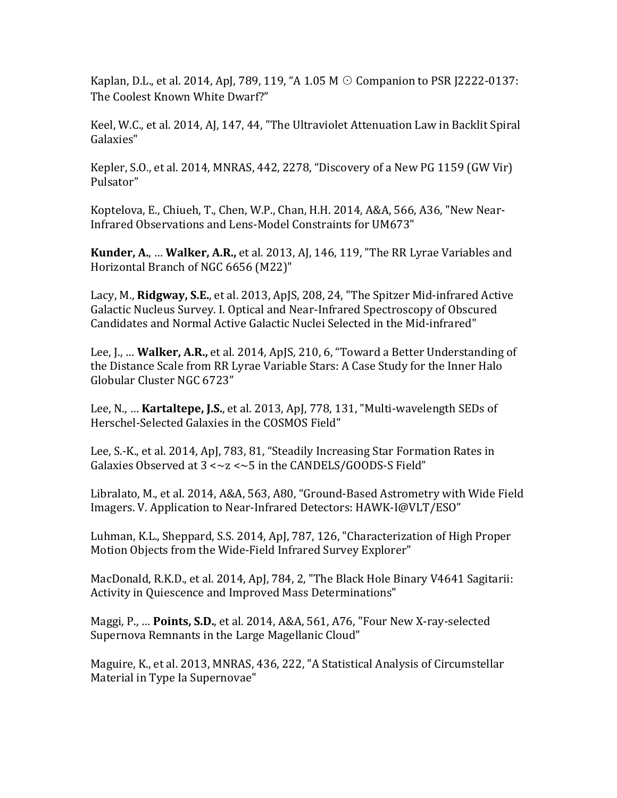Kaplan, D.L., et al. 2014, ApJ, 789, 119, "A 1.05 M  $\odot$  Companion to PSR J2222-0137: The Coolest Known White Dwarf?"

Keel, W.C., et al. 2014, AJ, 147, 44, "The Ultraviolet Attenuation Law in Backlit Spiral Galaxies" 

Kepler, S.O., et al. 2014, MNRAS, 442, 2278, "Discovery of a New PG 1159 (GW Vir) Pulsator"

Koptelova, E., Chiueh, T., Chen, W.P., Chan, H.H. 2014, A&A, 566, A36, "New Near-Infrared Observations and Lens-Model Constraints for UM673"

**Kunder, A., ... Walker, A.R.,** et al. 2013, AJ, 146, 119, "The RR Lyrae Variables and Horizontal Branch of NGC 6656 (M22)"

Lacy, M., Ridgway, S.E., et al. 2013, ApJS, 208, 24, "The Spitzer Mid-infrared Active Galactic Nucleus Survey. I. Optical and Near-Infrared Spectroscopy of Obscured Candidates and Normal Active Galactic Nuclei Selected in the Mid-infrared"

Lee, J., ... **Walker, A.R.,** et al. 2014, ApJS, 210, 6, "Toward a Better Understanding of the Distance Scale from RR Lyrae Variable Stars: A Case Study for the Inner Halo Globular Cluster NGC 6723"

Lee, N., ... **Kartaltepe, J.S.**, et al. 2013, ApJ, 778, 131, "Multi-wavelength SEDs of Herschel-Selected Galaxies in the COSMOS Field"

Lee, S.-K., et al. 2014, ApJ, 783, 81, "Steadily Increasing Star Formation Rates in Galaxies Observed at  $3 < \sim z < -5$  in the CANDELS/GOODS-S Field"

Libralato, M., et al. 2014, A&A, 563, A80, "Ground-Based Astrometry with Wide Field Imagers. V. Application to Near-Infrared Detectors: HAWK-I@VLT/ESO"

Luhman, K.L., Sheppard, S.S. 2014, ApJ, 787, 126, "Characterization of High Proper Motion Objects from the Wide-Field Infrared Survey Explorer"

MacDonald, R.K.D., et al. 2014, ApJ, 784, 2, "The Black Hole Binary V4641 Sagitarii: Activity in Quiescence and Improved Mass Determinations"

Maggi, P., ... **Points, S.D.**, et al. 2014, A&A, 561, A76, "Four New X-ray-selected Supernova Remnants in the Large Magellanic Cloud"

Maguire, K., et al. 2013, MNRAS, 436, 222, "A Statistical Analysis of Circumstellar Material in Type Ia Supernovae"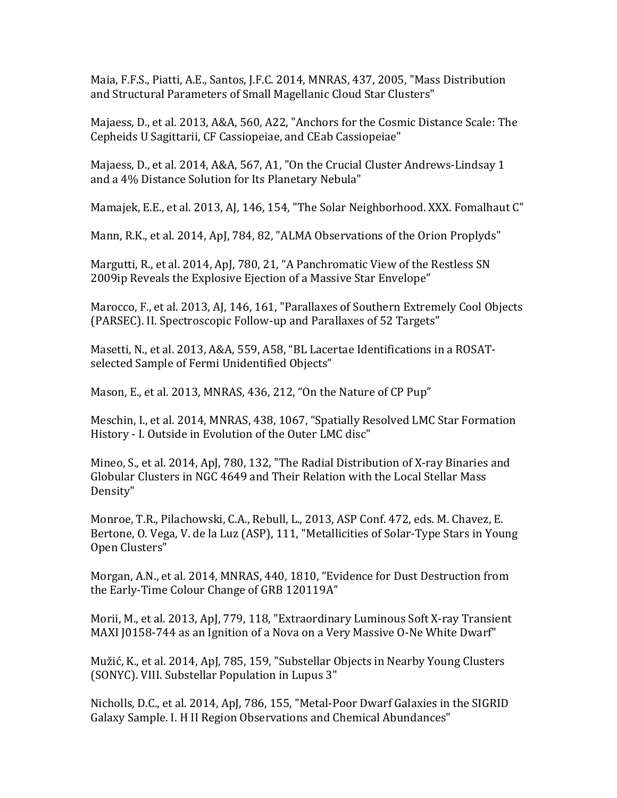Maia, F.F.S., Piatti, A.E., Santos, J.F.C. 2014, MNRAS, 437, 2005, "Mass Distribution and Structural Parameters of Small Magellanic Cloud Star Clusters"

Majaess, D., et al. 2013, A&A, 560, A22, "Anchors for the Cosmic Distance Scale: The Cepheids U Sagittarii, CF Cassiopeiae, and CEab Cassiopeiae"

Majaess, D., et al. 2014, A&A, 567, A1, "On the Crucial Cluster Andrews-Lindsay 1 and a 4% Distance Solution for Its Planetary Nebula"

Mamajek, E.E., et al. 2013, AJ, 146, 154, "The Solar Neighborhood. XXX. Fomalhaut C"

Mann, R.K., et al. 2014, ApJ, 784, 82, "ALMA Observations of the Orion Proplyds"

Margutti, R., et al. 2014, ApJ, 780, 21, "A Panchromatic View of the Restless SN 2009ip Reveals the Explosive Ejection of a Massive Star Envelope"

Marocco, F., et al. 2013, AJ, 146, 161, "Parallaxes of Southern Extremely Cool Objects (PARSEC). II. Spectroscopic Follow-up and Parallaxes of 52 Targets"

Masetti, N., et al. 2013, A&A, 559, A58, "BL Lacertae Identifications in a ROSATselected Sample of Fermi Unidentified Objects"

Mason, E., et al. 2013, MNRAS, 436, 212, "On the Nature of CP Pup"

Meschin, I., et al. 2014, MNRAS, 438, 1067, "Spatially Resolved LMC Star Formation History - I. Outside in Evolution of the Outer LMC disc"

Mineo, S., et al. 2014, ApJ, 780, 132, "The Radial Distribution of X-ray Binaries and Globular Clusters in NGC 4649 and Their Relation with the Local Stellar Mass Density"

Monroe, T.R., Pilachowski, C.A., Rebull, L., 2013, ASP Conf. 472, eds. M. Chavez, E. Bertone, O. Vega, V. de la Luz (ASP), 111, "Metallicities of Solar-Type Stars in Young Open Clusters"

Morgan, A.N., et al. 2014, MNRAS, 440, 1810, "Evidence for Dust Destruction from the Early-Time Colour Change of GRB 120119A"

Morii, M., et al. 2013, ApJ, 779, 118, "Extraordinary Luminous Soft X-ray Transient MAXI J0158-744 as an Ignition of a Nova on a Very Massive O-Ne White Dwarf"

Mužić, K., et al. 2014, ApJ, 785, 159, "Substellar Objects in Nearby Young Clusters (SONYC). VIII. Substellar Population in Lupus 3"

Nicholls, D.C., et al. 2014, ApJ, 786, 155, "Metal-Poor Dwarf Galaxies in the SIGRID Galaxy Sample. I. H II Region Observations and Chemical Abundances"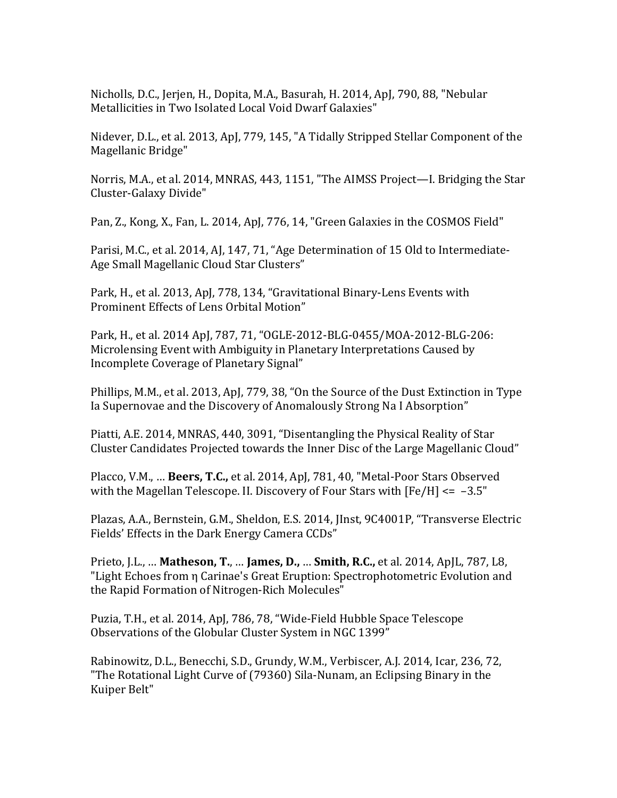Nicholls, D.C., Jerjen, H., Dopita, M.A., Basurah, H. 2014, ApJ, 790, 88, "Nebular Metallicities in Two Isolated Local Void Dwarf Galaxies"

Nidever, D.L., et al. 2013, ApJ, 779, 145, "A Tidally Stripped Stellar Component of the Magellanic Bridge"

Norris, M.A., et al. 2014, MNRAS, 443, 1151, "The AIMSS Project—I. Bridging the Star Cluster-Galaxy Divide"

Pan, Z., Kong, X., Fan, L. 2014, ApJ, 776, 14, "Green Galaxies in the COSMOS Field"

Parisi, M.C., et al. 2014, AJ, 147, 71, "Age Determination of 15 Old to Intermediate-Age Small Magellanic Cloud Star Clusters"

Park, H., et al. 2013, ApJ, 778, 134, "Gravitational Binary-Lens Events with Prominent Effects of Lens Orbital Motion"

Park, H., et al. 2014 ApJ, 787, 71, "OGLE-2012-BLG-0455/MOA-2012-BLG-206: Microlensing Event with Ambiguity in Planetary Interpretations Caused by Incomplete Coverage of Planetary Signal"

Phillips, M.M., et al. 2013, ApJ, 779, 38, "On the Source of the Dust Extinction in Type Ia Supernovae and the Discovery of Anomalously Strong Na I Absorption"

Piatti, A.E. 2014, MNRAS, 440, 3091, "Disentangling the Physical Reality of Star Cluster Candidates Projected towards the Inner Disc of the Large Magellanic Cloud"

Placco, V.M., ... **Beers, T.C.,** et al. 2014, ApJ, 781, 40, "Metal-Poor Stars Observed with the Magellan Telescope. II. Discovery of Four Stars with  $[Fe/H] \le -3.5"$ 

Plazas, A.A., Bernstein, G.M., Sheldon, E.S. 2014, JInst, 9C4001P, "Transverse Electric Fields' Effects in the Dark Energy Camera CCDs"

Prieto, J.L., ... **Matheson, T., ... James, D., ... Smith, R.C.,** et al. 2014, ApJL, 787, L8, "Light Echoes from  $\eta$  Carinae's Great Eruption: Spectrophotometric Evolution and the Rapid Formation of Nitrogen-Rich Molecules"

Puzia, T.H., et al. 2014, ApJ, 786, 78, "Wide-Field Hubble Space Telescope Observations of the Globular Cluster System in NGC 1399"

Rabinowitz, D.L., Benecchi, S.D., Grundy, W.M., Verbiscer, A.J. 2014, Icar, 236, 72, "The Rotational Light Curve of (79360) Sila-Nunam, an Eclipsing Binary in the Kuiper Belt"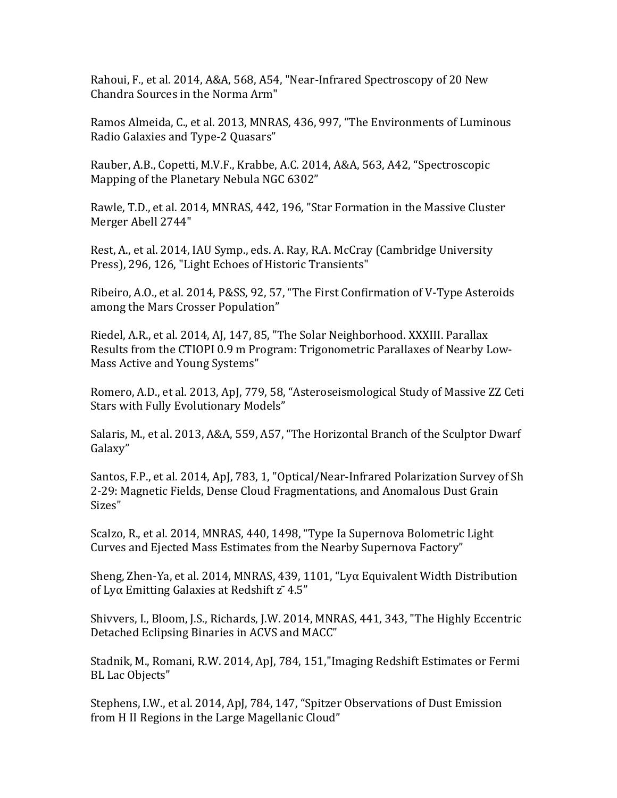Rahoui, F., et al. 2014, A&A, 568, A54, "Near-Infrared Spectroscopy of 20 New Chandra Sources in the Norma Arm"

Ramos Almeida, C., et al. 2013, MNRAS, 436, 997, "The Environments of Luminous Radio Galaxies and Type-2 Quasars"

Rauber, A.B., Copetti, M.V.F., Krabbe, A.C. 2014, A&A, 563, A42, "Spectroscopic Mapping of the Planetary Nebula NGC 6302"

Rawle, T.D., et al. 2014, MNRAS, 442, 196, "Star Formation in the Massive Cluster Merger Abell 2744"

Rest, A., et al. 2014, IAU Symp., eds. A. Ray, R.A. McCray (Cambridge University Press), 296, 126, "Light Echoes of Historic Transients"

Ribeiro, A.O., et al. 2014, P&SS, 92, 57, "The First Confirmation of V-Type Asteroids among the Mars Crosser Population"

Riedel, A.R., et al. 2014, AJ, 147, 85, "The Solar Neighborhood. XXXIII. Parallax Results from the CTIOPI 0.9 m Program: Trigonometric Parallaxes of Nearby Low-Mass Active and Young Systems"

Romero, A.D., et al. 2013, ApJ, 779, 58, "Asteroseismological Study of Massive ZZ Ceti Stars with Fully Evolutionary Models"

Salaris, M., et al. 2013, A&A, 559, A57, "The Horizontal Branch of the Sculptor Dwarf Galaxy" 

Santos, F.P., et al. 2014, ApJ, 783, 1, "Optical/Near-Infrared Polarization Survey of Sh 2-29: Magnetic Fields, Dense Cloud Fragmentations, and Anomalous Dust Grain Sizes"

Scalzo, R., et al. 2014, MNRAS, 440, 1498, "Type Ia Supernova Bolometric Light Curves and Ejected Mass Estimates from the Nearby Supernova Factory"

Sheng, Zhen-Ya, et al. 2014, MNRAS, 439, 1101, "Ly $\alpha$  Equivalent Width Distribution of Ly $\alpha$  Emitting Galaxies at Redshift  $\tilde{z}$  4.5"

Shivvers, I., Bloom, J.S., Richards, J.W. 2014, MNRAS, 441, 343, "The Highly Eccentric Detached Eclipsing Binaries in ACVS and MACC"

Stadnik, M., Romani, R.W. 2014, ApJ, 784, 151, "Imaging Redshift Estimates or Fermi BL Lac Objects"

Stephens, I.W., et al. 2014, ApJ, 784, 147, "Spitzer Observations of Dust Emission from H II Regions in the Large Magellanic Cloud"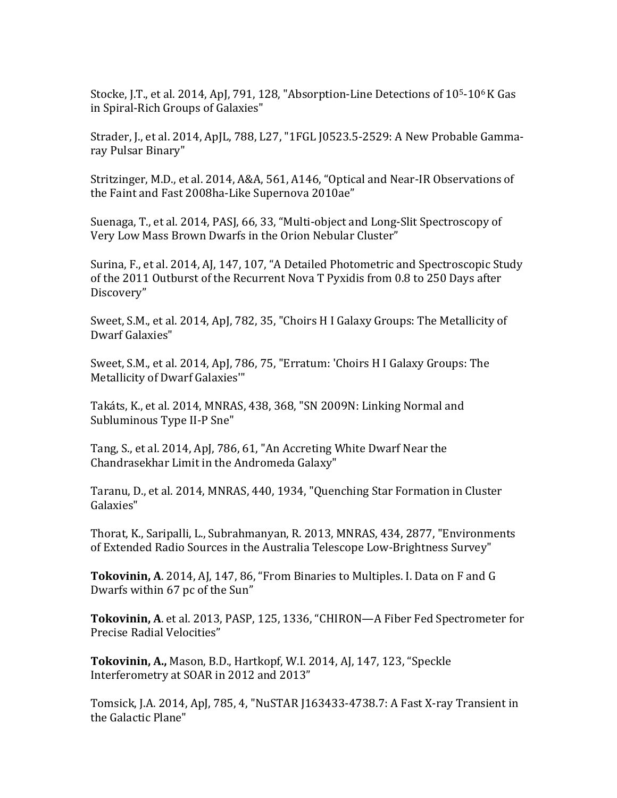Stocke, J.T., et al. 2014, ApJ, 791, 128, "Absorption-Line Detections of  $10<sup>5</sup>$ -10<sup>6</sup> K Gas in Spiral-Rich Groups of Galaxies"

Strader, J., et al. 2014, ApJL, 788, L27, "1FGL J0523.5-2529: A New Probable Gammaray Pulsar Binary"

Stritzinger, M.D., et al. 2014, A&A, 561, A146, "Optical and Near-IR Observations of the Faint and Fast 2008ha-Like Supernova 2010ae"

Suenaga, T., et al. 2014, PASJ, 66, 33, "Multi-object and Long-Slit Spectroscopy of Very Low Mass Brown Dwarfs in the Orion Nebular Cluster"

Surina, F., et al. 2014, AJ, 147, 107, "A Detailed Photometric and Spectroscopic Study of the 2011 Outburst of the Recurrent Nova T Pyxidis from 0.8 to 250 Days after Discovery"

Sweet, S.M., et al. 2014, ApJ, 782, 35, "Choirs H I Galaxy Groups: The Metallicity of Dwarf Galaxies"

Sweet, S.M., et al. 2014, ApJ, 786, 75, "Erratum: 'Choirs H I Galaxy Groups: The Metallicity of Dwarf Galaxies"

Takáts, K., et al. 2014, MNRAS, 438, 368, "SN 2009N: Linking Normal and Subluminous Type II-P Sne"

Tang, S., et al. 2014, ApJ, 786, 61, "An Accreting White Dwarf Near the Chandrasekhar Limit in the Andromeda Galaxy"

Taranu, D., et al. 2014, MNRAS, 440, 1934, "Quenching Star Formation in Cluster Galaxies"

Thorat, K., Saripalli, L., Subrahmanyan, R. 2013, MNRAS, 434, 2877, "Environments of Extended Radio Sources in the Australia Telescope Low-Brightness Survey"

**Tokovinin, A**. 2014, AJ, 147, 86, "From Binaries to Multiples. I. Data on F and G Dwarfs within 67 pc of the Sun"

**Tokovinin, A.** et al. 2013, PASP, 125, 1336, "CHIRON—A Fiber Fed Spectrometer for Precise Radial Velocities"

Tokovinin, A., Mason, B.D., Hartkopf, W.I. 2014, AJ, 147, 123, "Speckle Interferometry at SOAR in 2012 and 2013"

Tomsick, J.A. 2014, ApJ, 785, 4, "NuSTAR J163433-4738.7: A Fast X-ray Transient in the Galactic Plane"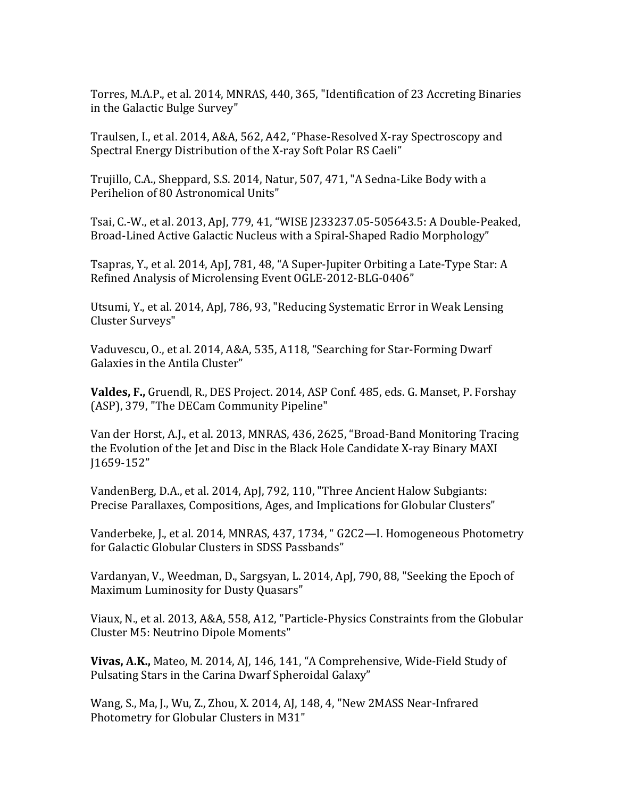Torres, M.A.P., et al. 2014, MNRAS, 440, 365, "Identification of 23 Accreting Binaries in the Galactic Bulge Survey"

Traulsen, I., et al. 2014, A&A, 562, A42, "Phase-Resolved X-ray Spectroscopy and Spectral Energy Distribution of the X-ray Soft Polar RS Caeli"

Trujillo, C.A., Sheppard, S.S. 2014, Natur, 507, 471, "A Sedna-Like Body with a Perihelion of 80 Astronomical Units"

Tsai, C.-W., et al. 2013, ApJ, 779, 41, "WISE J233237.05-505643.5: A Double-Peaked, Broad-Lined Active Galactic Nucleus with a Spiral-Shaped Radio Morphology"

Tsapras, Y., et al. 2014, ApJ, 781, 48, "A Super-Jupiter Orbiting a Late-Type Star: A Refined Analysis of Microlensing Event OGLE-2012-BLG-0406"

Utsumi, Y., et al. 2014, ApJ, 786, 93, "Reducing Systematic Error in Weak Lensing Cluster Surveys"

Vaduvescu, O., et al. 2014, A&A, 535, A118, "Searching for Star-Forming Dwarf Galaxies in the Antila Cluster"

**Valdes, F., Gruendl, R., DES Project.** 2014, ASP Conf. 485, eds. G. Manset, P. Forshay (ASP), 379, "The DECam Community Pipeline"

Van der Horst, A.J., et al. 2013, MNRAS, 436, 2625, "Broad-Band Monitoring Tracing the Evolution of the Jet and Disc in the Black Hole Candidate X-ray Binary MAXI J1659-152" 

VandenBerg, D.A., et al. 2014, ApJ, 792, 110, "Three Ancient Halow Subgiants: Precise Parallaxes, Compositions, Ages, and Implications for Globular Clusters"

Vanderbeke, J., et al. 2014, MNRAS, 437, 1734, " G2C2—I. Homogeneous Photometry for Galactic Globular Clusters in SDSS Passbands"

Vardanyan, V., Weedman, D., Sargsyan, L. 2014, ApJ, 790, 88, "Seeking the Epoch of Maximum Luminosity for Dusty Quasars"

Viaux, N., et al. 2013, A&A, 558, A12, "Particle-Physics Constraints from the Globular Cluster M5: Neutrino Dipole Moments"

**Vivas, A.K.,** Mateo, M. 2014, AJ, 146, 141, "A Comprehensive, Wide-Field Study of Pulsating Stars in the Carina Dwarf Spheroidal Galaxy"

Wang, S., Ma, J., Wu, Z., Zhou, X. 2014, AJ, 148, 4, "New 2MASS Near-Infrared Photometry for Globular Clusters in M31"